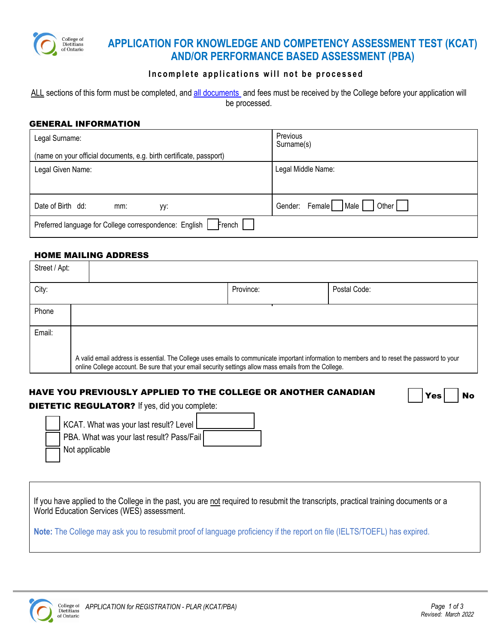

# **APPLICATION FOR KNOWLEDGE AND COMPETENCY ASSESSMENT TEST (KCAT) AND/OR PERFORMANCE BASED ASSESSMENT (PBA)**

## **Incomplete applications will not be processed**

ALL sections of this form must be completed, and [all documents](#page-1-0) and fees must be received by the College before your application will be processed.

#### GENERAL INFORMATION

| Legal Surname:                                                       | Previous<br>Surname(s)                 |  |  |  |  |
|----------------------------------------------------------------------|----------------------------------------|--|--|--|--|
| (name on your official documents, e.g. birth certificate, passport)  |                                        |  |  |  |  |
| Legal Given Name:                                                    | Legal Middle Name:                     |  |  |  |  |
|                                                                      |                                        |  |  |  |  |
| Date of Birth dd:<br>mm:<br>yy:                                      | Male<br>Other  <br>Female  <br>Gender: |  |  |  |  |
| French    <br>Preferred language for College correspondence: English |                                        |  |  |  |  |

### HOME MAILING ADDRESS

| Street / Apt: |                                                                                                                                                                                                                                                        |           |              |  |  |
|---------------|--------------------------------------------------------------------------------------------------------------------------------------------------------------------------------------------------------------------------------------------------------|-----------|--------------|--|--|
| City:         |                                                                                                                                                                                                                                                        | Province: | Postal Code: |  |  |
| Phone         |                                                                                                                                                                                                                                                        |           |              |  |  |
| Email:        |                                                                                                                                                                                                                                                        |           |              |  |  |
|               | A valid email address is essential. The College uses emails to communicate important information to members and to reset the password to your<br>online College account. Be sure that your email security settings allow mass emails from the College. |           |              |  |  |

# HAVE YOU PREVIOUSLY APPLIED TO THE COLLEGE OR ANOTHER CANADIAN  $\bigcap_{\text{Yes}}\bigcap_{\text{No}}$

DIETETIC REGULATOR? If yes, did you complete:

| KCAT. What was your last result? Level L  |  |
|-------------------------------------------|--|
| PBA. What was your last result? Pass/Fail |  |
| $\equiv$ Not applicable                   |  |

If you have applied to the College in the past, you are not required to resubmit the transcripts, practical training documents or a World Education Services (WES) assessment.

**Note:** The College may ask you to resubmit proof of language proficiency if the report on file (IELTS/TOEFL) has expired.

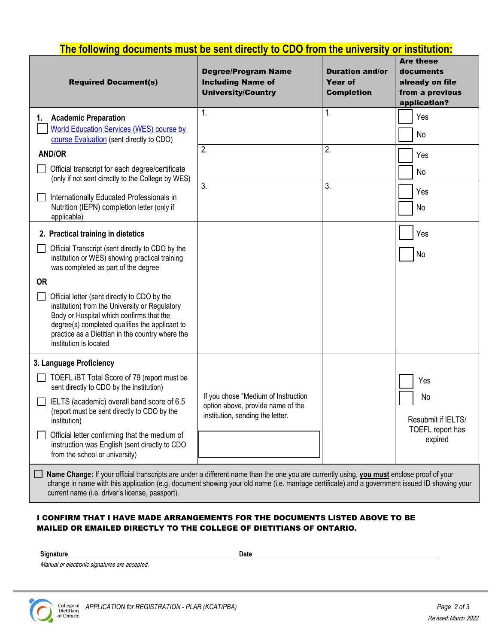<span id="page-1-0"></span>

| The following documents must be sent directly to CDO from the university or institution:                                                                                                                                                                                                   |                                                                                                              |                                                               |                                                                                     |  |  |
|--------------------------------------------------------------------------------------------------------------------------------------------------------------------------------------------------------------------------------------------------------------------------------------------|--------------------------------------------------------------------------------------------------------------|---------------------------------------------------------------|-------------------------------------------------------------------------------------|--|--|
| <b>Required Document(s)</b>                                                                                                                                                                                                                                                                | <b>Degree/Program Name</b><br><b>Including Name of</b><br><b>University/Country</b>                          | <b>Duration and/or</b><br><b>Year of</b><br><b>Completion</b> | <b>Are these</b><br>documents<br>already on file<br>from a previous<br>application? |  |  |
| <b>Academic Preparation</b><br>1.<br>World Education Services (WES) course by<br>course Evaluation (sent directly to CDO)                                                                                                                                                                  | 1.                                                                                                           | 1.                                                            | Yes<br>No                                                                           |  |  |
| <b>AND/OR</b>                                                                                                                                                                                                                                                                              | 2.                                                                                                           | 2.                                                            | Yes                                                                                 |  |  |
| Official transcript for each degree/certificate<br>(only if not sent directly to the College by WES)                                                                                                                                                                                       | $\overline{3}$ .                                                                                             | 3.                                                            | No                                                                                  |  |  |
| Internationally Educated Professionals in<br>Nutrition (IEPN) completion letter (only if<br>applicable)                                                                                                                                                                                    |                                                                                                              |                                                               | Yes<br>No                                                                           |  |  |
| 2. Practical training in dietetics                                                                                                                                                                                                                                                         |                                                                                                              |                                                               | Yes                                                                                 |  |  |
| Official Transcript (sent directly to CDO by the<br>institution or WES) showing practical training<br>was completed as part of the degree                                                                                                                                                  |                                                                                                              |                                                               | No                                                                                  |  |  |
| <b>OR</b>                                                                                                                                                                                                                                                                                  |                                                                                                              |                                                               |                                                                                     |  |  |
| Official letter (sent directly to CDO by the<br>institution) from the University or Regulatory<br>Body or Hospital which confirms that the<br>degree(s) completed qualifies the applicant to<br>practice as a Dietitian in the country where the<br>institution is located                 |                                                                                                              |                                                               |                                                                                     |  |  |
| 3. Language Proficiency                                                                                                                                                                                                                                                                    |                                                                                                              |                                                               |                                                                                     |  |  |
| TOEFL iBT Total Score of 79 (report must be<br>sent directly to CDO by the institution)                                                                                                                                                                                                    |                                                                                                              |                                                               | Yes                                                                                 |  |  |
| IELTS (academic) overall band score of 6.5<br>(report must be sent directly to CDO by the<br>institution)                                                                                                                                                                                  | If you chose "Medium of Instruction<br>option above, provide name of the<br>institution, sending the letter. |                                                               | No<br>Resubmit if IELTS/                                                            |  |  |
| Official letter confirming that the medium of<br>instruction was English (sent directly to CDO<br>from the school or university)                                                                                                                                                           |                                                                                                              |                                                               | TOEFL report has<br>expired                                                         |  |  |
| Name Change: If your official transcripts are under a different name than the one you are currently using, you must enclose proof of your<br>change in name with this application (e.g. document showing your old name (i.e. marriage certificate) and a government issued ID showing your |                                                                                                              |                                                               |                                                                                     |  |  |

## current name (i.e. driver's license, passport).

#### I CONFIRM THAT I HAVE MADE ARRANGEMENTS FOR THE DOCUMENTS LISTED ABOVE TO BE MAILED OR EMAILED DIRECTLY TO THE COLLEGE OF DIETITIANS OF ONTARIO.

Signature Date

Manual or electronic signatures are accepted.